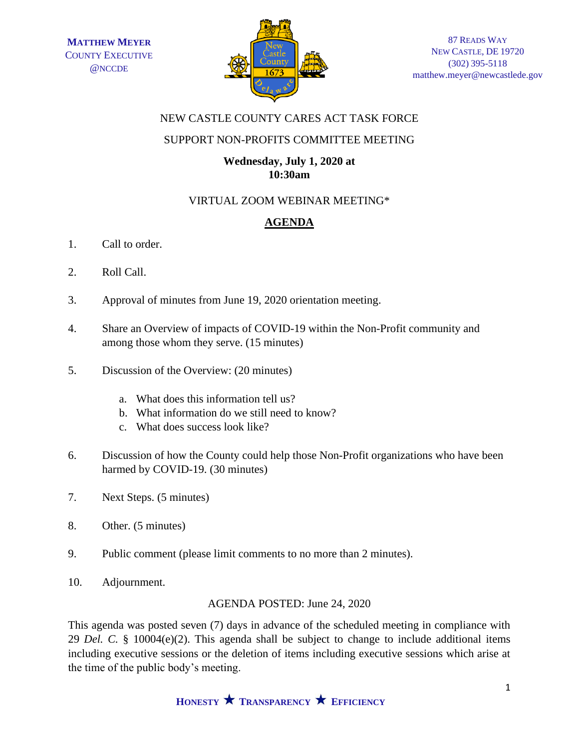

### NEW CASTLE COUNTY CARES ACT TASK FORCE

## SUPPORT NON-PROFITS COMMITTEE MEETING

#### **Wednesday, July 1, 2020 at 10:30am**

# VIRTUAL ZOOM WEBINAR MEETING\*

# **AGENDA**

- 1. Call to order.
- 2. Roll Call.
- 3. Approval of minutes from June 19, 2020 orientation meeting.
- 4. Share an Overview of impacts of COVID-19 within the Non-Profit community and among those whom they serve. (15 minutes)
- 5. Discussion of the Overview: (20 minutes)
	- a. What does this information tell us?
	- b. What information do we still need to know?
	- c. What does success look like?
- 6. Discussion of how the County could help those Non-Profit organizations who have been harmed by COVID-19. (30 minutes)
- 7. Next Steps. (5 minutes)
- 8. Other. (5 minutes)
- 9. Public comment (please limit comments to no more than 2 minutes).
- 10. Adjournment.

### AGENDA POSTED: June 24, 2020

This agenda was posted seven (7) days in advance of the scheduled meeting in compliance with 29 *Del. C.* § 10004(e)(2). This agenda shall be subject to change to include additional items including executive sessions or the deletion of items including executive sessions which arise at the time of the public body's meeting.